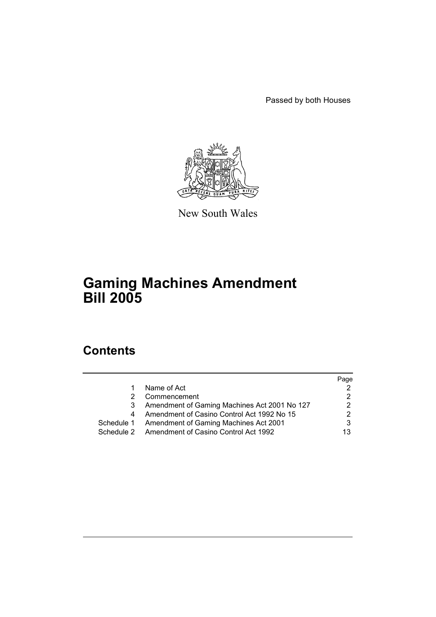Passed by both Houses



New South Wales

# **Gaming Machines Amendment Bill 2005**

# **Contents**

|            |                                                 | Page |
|------------|-------------------------------------------------|------|
|            | Name of Act                                     |      |
|            | Commencement                                    |      |
| 3          | Amendment of Gaming Machines Act 2001 No 127    |      |
| 4          | Amendment of Casino Control Act 1992 No 15      |      |
| Schedule 1 | <b>Amendment of Gaming Machines Act 2001</b>    | 3    |
|            | Schedule 2 Amendment of Casino Control Act 1992 | 13   |
|            |                                                 |      |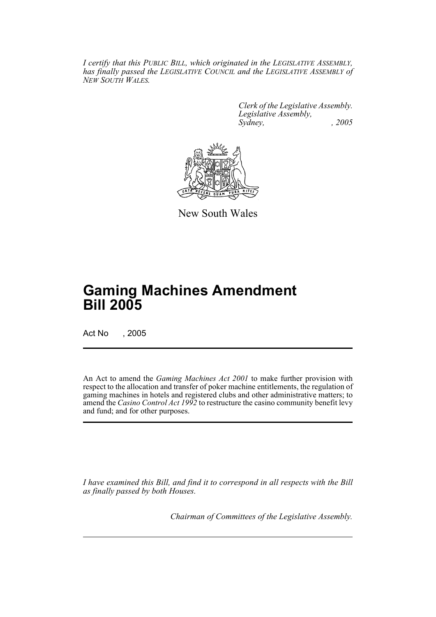*I certify that this PUBLIC BILL, which originated in the LEGISLATIVE ASSEMBLY, has finally passed the LEGISLATIVE COUNCIL and the LEGISLATIVE ASSEMBLY of NEW SOUTH WALES.*

> *Clerk of the Legislative Assembly. Legislative Assembly, Sydney, , 2005*



New South Wales

# **Gaming Machines Amendment Bill 2005**

Act No , 2005

An Act to amend the *Gaming Machines Act 2001* to make further provision with respect to the allocation and transfer of poker machine entitlements, the regulation of gaming machines in hotels and registered clubs and other administrative matters; to amend the *Casino Control Act 1992* to restructure the casino community benefit levy and fund; and for other purposes.

*I have examined this Bill, and find it to correspond in all respects with the Bill as finally passed by both Houses.*

*Chairman of Committees of the Legislative Assembly.*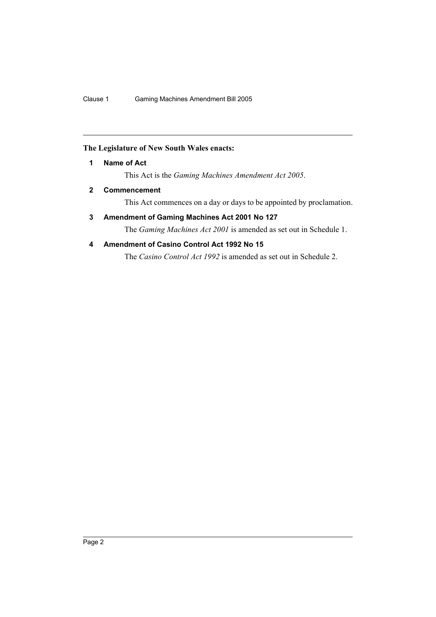## **The Legislature of New South Wales enacts:**

## **1 Name of Act**

This Act is the *Gaming Machines Amendment Act 2005*.

## **2 Commencement**

This Act commences on a day or days to be appointed by proclamation.

## **3 Amendment of Gaming Machines Act 2001 No 127**

The *Gaming Machines Act 2001* is amended as set out in Schedule 1.

## **4 Amendment of Casino Control Act 1992 No 15**

The *Casino Control Act 1992* is amended as set out in Schedule 2.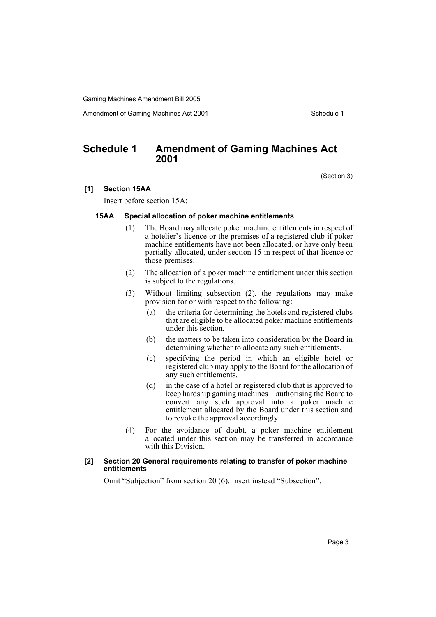Amendment of Gaming Machines Act 2001 Schedule 1

## **Schedule 1 Amendment of Gaming Machines Act 2001**

(Section 3)

#### **[1] Section 15AA**

Insert before section 15A:

#### **15AA Special allocation of poker machine entitlements**

- (1) The Board may allocate poker machine entitlements in respect of a hotelier's licence or the premises of a registered club if poker machine entitlements have not been allocated, or have only been partially allocated, under section 15 in respect of that licence or those premises.
- (2) The allocation of a poker machine entitlement under this section is subject to the regulations.
- (3) Without limiting subsection (2), the regulations may make provision for or with respect to the following:
	- (a) the criteria for determining the hotels and registered clubs that are eligible to be allocated poker machine entitlements under this section,
	- (b) the matters to be taken into consideration by the Board in determining whether to allocate any such entitlements,
	- (c) specifying the period in which an eligible hotel or registered club may apply to the Board for the allocation of any such entitlements,
	- (d) in the case of a hotel or registered club that is approved to keep hardship gaming machines—authorising the Board to convert any such approval into a poker machine entitlement allocated by the Board under this section and to revoke the approval accordingly.
- (4) For the avoidance of doubt, a poker machine entitlement allocated under this section may be transferred in accordance with this Division.

#### **[2] Section 20 General requirements relating to transfer of poker machine entitlements**

Omit "Subjection" from section 20 (6). Insert instead "Subsection".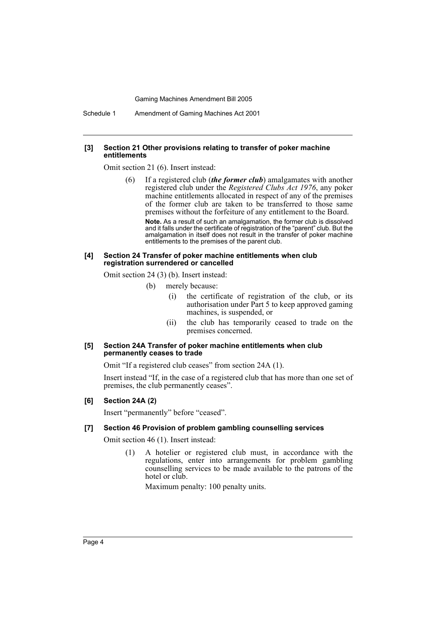Schedule 1 Amendment of Gaming Machines Act 2001

#### **[3] Section 21 Other provisions relating to transfer of poker machine entitlements**

Omit section 21 (6). Insert instead:

(6) If a registered club (*the former club*) amalgamates with another registered club under the *Registered Clubs Act 1976*, any poker machine entitlements allocated in respect of any of the premises of the former club are taken to be transferred to those same premises without the forfeiture of any entitlement to the Board. **Note.** As a result of such an amalgamation, the former club is dissolved and it falls under the certificate of registration of the "parent" club. But the amalgamation in itself does not result in the transfer of poker machine entitlements to the premises of the parent club.

#### **[4] Section 24 Transfer of poker machine entitlements when club registration surrendered or cancelled**

Omit section 24 (3) (b). Insert instead:

- (b) merely because:
	- (i) the certificate of registration of the club, or its authorisation under Part 5 to keep approved gaming machines, is suspended, or
	- (ii) the club has temporarily ceased to trade on the premises concerned.

#### **[5] Section 24A Transfer of poker machine entitlements when club permanently ceases to trade**

Omit "If a registered club ceases" from section 24A (1).

Insert instead "If, in the case of a registered club that has more than one set of premises, the club permanently ceases".

#### **[6] Section 24A (2)**

Insert "permanently" before "ceased".

#### **[7] Section 46 Provision of problem gambling counselling services**

Omit section 46 (1). Insert instead:

(1) A hotelier or registered club must, in accordance with the regulations, enter into arrangements for problem gambling counselling services to be made available to the patrons of the hotel or club.

Maximum penalty: 100 penalty units.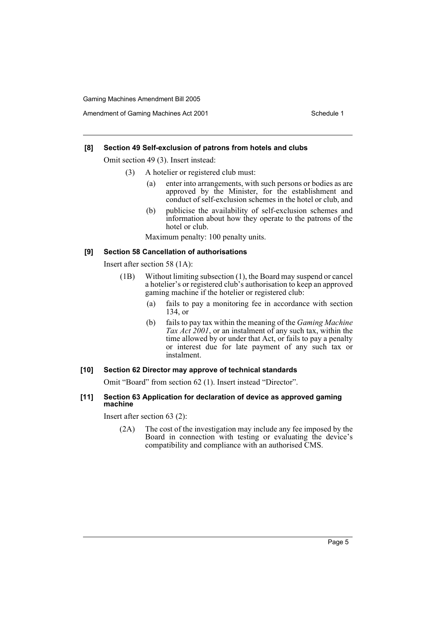#### **[8] Section 49 Self-exclusion of patrons from hotels and clubs**

Omit section 49 (3). Insert instead:

- (3) A hotelier or registered club must:
	- (a) enter into arrangements, with such persons or bodies as are approved by the Minister, for the establishment and conduct of self-exclusion schemes in the hotel or club, and
	- (b) publicise the availability of self-exclusion schemes and information about how they operate to the patrons of the hotel or club.

Maximum penalty: 100 penalty units.

### **[9] Section 58 Cancellation of authorisations**

Insert after section 58 (1A):

- (1B) Without limiting subsection (1), the Board may suspend or cancel a hotelier's or registered club's authorisation to keep an approved gaming machine if the hotelier or registered club:
	- (a) fails to pay a monitoring fee in accordance with section 134, or
	- (b) fails to pay tax within the meaning of the *Gaming Machine Tax Act 2001*, or an instalment of any such tax, within the time allowed by or under that Act, or fails to pay a penalty or interest due for late payment of any such tax or instalment.

#### **[10] Section 62 Director may approve of technical standards**

Omit "Board" from section 62 (1). Insert instead "Director".

#### **[11] Section 63 Application for declaration of device as approved gaming machine**

Insert after section 63 (2):

(2A) The cost of the investigation may include any fee imposed by the Board in connection with testing or evaluating the device's compatibility and compliance with an authorised CMS.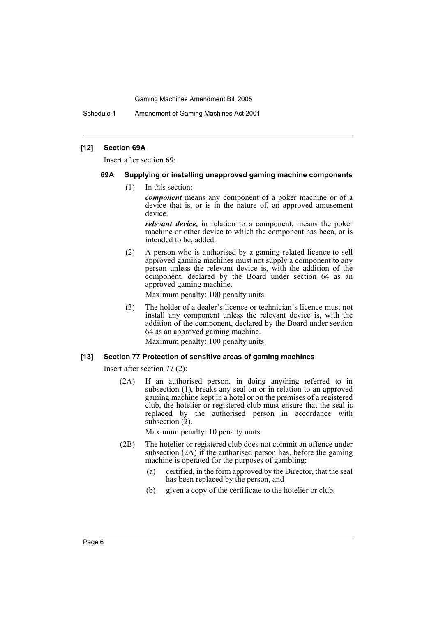Schedule 1 Amendment of Gaming Machines Act 2001

#### **[12] Section 69A**

Insert after section 69:

#### **69A Supplying or installing unapproved gaming machine components**

(1) In this section:

*component* means any component of a poker machine or of a device that is, or is in the nature of, an approved amusement device.

*relevant device*, in relation to a component, means the poker machine or other device to which the component has been, or is intended to be, added.

(2) A person who is authorised by a gaming-related licence to sell approved gaming machines must not supply a component to any person unless the relevant device is, with the addition of the component, declared by the Board under section 64 as an approved gaming machine.

Maximum penalty: 100 penalty units.

(3) The holder of a dealer's licence or technician's licence must not install any component unless the relevant device is, with the addition of the component, declared by the Board under section 64 as an approved gaming machine.

Maximum penalty: 100 penalty units.

#### **[13] Section 77 Protection of sensitive areas of gaming machines**

Insert after section 77 (2):

(2A) If an authorised person, in doing anything referred to in subsection (1), breaks any seal on or in relation to an approved gaming machine kept in a hotel or on the premises of a registered club, the hotelier or registered club must ensure that the seal is replaced by the authorised person in accordance with subsection  $(2)$ .

Maximum penalty: 10 penalty units.

- (2B) The hotelier or registered club does not commit an offence under subsection (2A) if the authorised person has, before the gaming machine is operated for the purposes of gambling:
	- (a) certified, in the form approved by the Director, that the seal has been replaced by the person, and
	- (b) given a copy of the certificate to the hotelier or club.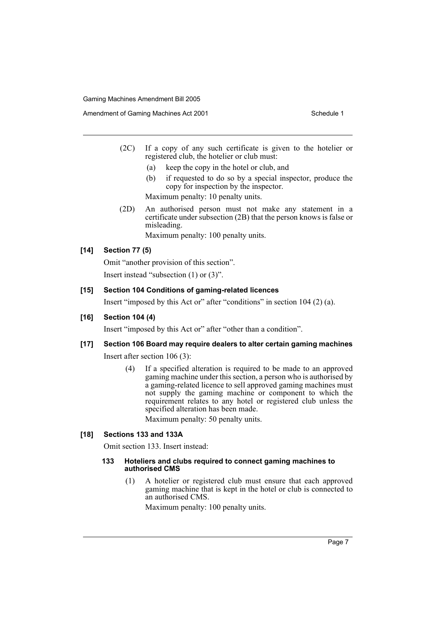Amendment of Gaming Machines Act 2001 Schedule 1

- (2C) If a copy of any such certificate is given to the hotelier or registered club, the hotelier or club must:
	- (a) keep the copy in the hotel or club, and
	- (b) if requested to do so by a special inspector, produce the copy for inspection by the inspector.

Maximum penalty: 10 penalty units.

(2D) An authorised person must not make any statement in a certificate under subsection (2B) that the person knows is false or misleading.

Maximum penalty: 100 penalty units.

## **[14] Section 77 (5)**

Omit "another provision of this section". Insert instead "subsection (1) or (3)".

## **[15] Section 104 Conditions of gaming-related licences**

Insert "imposed by this Act or" after "conditions" in section 104 (2) (a).

## **[16] Section 104 (4)**

Insert "imposed by this Act or" after "other than a condition".

## **[17] Section 106 Board may require dealers to alter certain gaming machines**

Insert after section 106 (3):

(4) If a specified alteration is required to be made to an approved gaming machine under this section, a person who is authorised by a gaming-related licence to sell approved gaming machines must not supply the gaming machine or component to which the requirement relates to any hotel or registered club unless the specified alteration has been made.

Maximum penalty: 50 penalty units.

## **[18] Sections 133 and 133A**

Omit section 133. Insert instead:

#### **133 Hoteliers and clubs required to connect gaming machines to authorised CMS**

(1) A hotelier or registered club must ensure that each approved gaming machine that is kept in the hotel or club is connected to an authorised CMS.

Maximum penalty: 100 penalty units.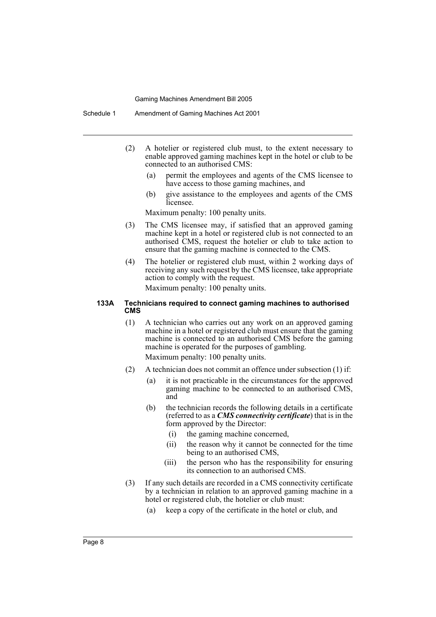- (2) A hotelier or registered club must, to the extent necessary to enable approved gaming machines kept in the hotel or club to be connected to an authorised CMS:
	- (a) permit the employees and agents of the CMS licensee to have access to those gaming machines, and
	- (b) give assistance to the employees and agents of the CMS licensee.

Maximum penalty: 100 penalty units.

- (3) The CMS licensee may, if satisfied that an approved gaming machine kept in a hotel or registered club is not connected to an authorised CMS, request the hotelier or club to take action to ensure that the gaming machine is connected to the CMS.
- (4) The hotelier or registered club must, within 2 working days of receiving any such request by the CMS licensee, take appropriate action to comply with the request. Maximum penalty: 100 penalty units.

## **133A Technicians required to connect gaming machines to authorised CMS**

(1) A technician who carries out any work on an approved gaming machine in a hotel or registered club must ensure that the gaming machine is connected to an authorised CMS before the gaming machine is operated for the purposes of gambling.

Maximum penalty: 100 penalty units.

- (2) A technician does not commit an offence under subsection (1) if:
	- (a) it is not practicable in the circumstances for the approved gaming machine to be connected to an authorised CMS, and
	- (b) the technician records the following details in a certificate (referred to as a *CMS connectivity certificate*) that is in the form approved by the Director:
		- (i) the gaming machine concerned,
		- (ii) the reason why it cannot be connected for the time being to an authorised CMS,
		- (iii) the person who has the responsibility for ensuring its connection to an authorised CMS.
- (3) If any such details are recorded in a CMS connectivity certificate by a technician in relation to an approved gaming machine in a hotel or registered club, the hotelier or club must:
	- (a) keep a copy of the certificate in the hotel or club, and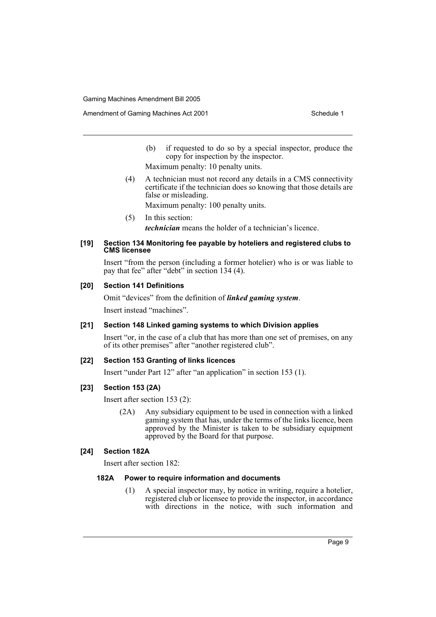- (b) if requested to do so by a special inspector, produce the copy for inspection by the inspector.
- Maximum penalty: 10 penalty units.
- (4) A technician must not record any details in a CMS connectivity certificate if the technician does so knowing that those details are false or misleading.

Maximum penalty: 100 penalty units.

(5) In this section: *technician* means the holder of a technician's licence.

#### **[19] Section 134 Monitoring fee payable by hoteliers and registered clubs to CMS licensee**

Insert "from the person (including a former hotelier) who is or was liable to pay that fee" after "debt" in section 134 (4).

## **[20] Section 141 Definitions**

Omit "devices" from the definition of *linked gaming system*.

Insert instead "machines".

## **[21] Section 148 Linked gaming systems to which Division applies**

Insert "or, in the case of a club that has more than one set of premises, on any of its other premises" after "another registered club".

## **[22] Section 153 Granting of links licences**

Insert "under Part 12" after "an application" in section 153 (1).

## **[23] Section 153 (2A)**

Insert after section 153 (2):

(2A) Any subsidiary equipment to be used in connection with a linked gaming system that has, under the terms of the links licence, been approved by the Minister is taken to be subsidiary equipment approved by the Board for that purpose.

#### **[24] Section 182A**

Insert after section 182:

## **182A Power to require information and documents**

(1) A special inspector may, by notice in writing, require a hotelier, registered club or licensee to provide the inspector, in accordance with directions in the notice, with such information and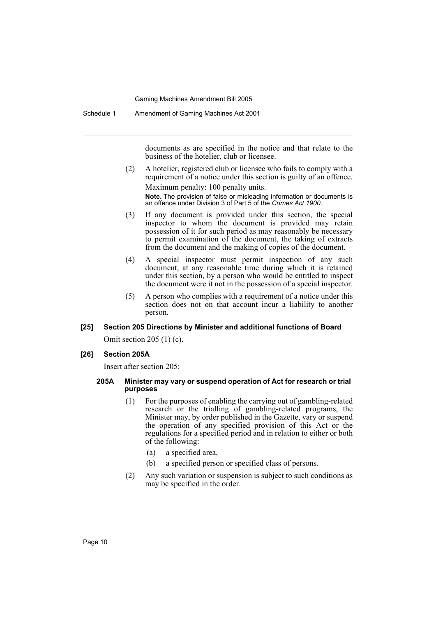documents as are specified in the notice and that relate to the business of the hotelier, club or licensee.

(2) A hotelier, registered club or licensee who fails to comply with a requirement of a notice under this section is guilty of an offence. Maximum penalty: 100 penalty units.

**Note.** The provision of false or misleading information or documents is an offence under Division 3 of Part 5 of the *Crimes Act 1900*.

- (3) If any document is provided under this section, the special inspector to whom the document is provided may retain possession of it for such period as may reasonably be necessary to permit examination of the document, the taking of extracts from the document and the making of copies of the document.
- (4) A special inspector must permit inspection of any such document, at any reasonable time during which it is retained under this section, by a person who would be entitled to inspect the document were it not in the possession of a special inspector.
- (5) A person who complies with a requirement of a notice under this section does not on that account incur a liability to another person.

## **[25] Section 205 Directions by Minister and additional functions of Board**

Omit section 205 (1) (c).

#### **[26] Section 205A**

Insert after section 205:

#### **205A Minister may vary or suspend operation of Act for research or trial purposes**

- (1) For the purposes of enabling the carrying out of gambling-related research or the trialling of gambling-related programs, the Minister may, by order published in the Gazette, vary or suspend the operation of any specified provision of this Act or the regulations for a specified period and in relation to either or both of the following:
	- (a) a specified area,
	- (b) a specified person or specified class of persons.
- (2) Any such variation or suspension is subject to such conditions as may be specified in the order.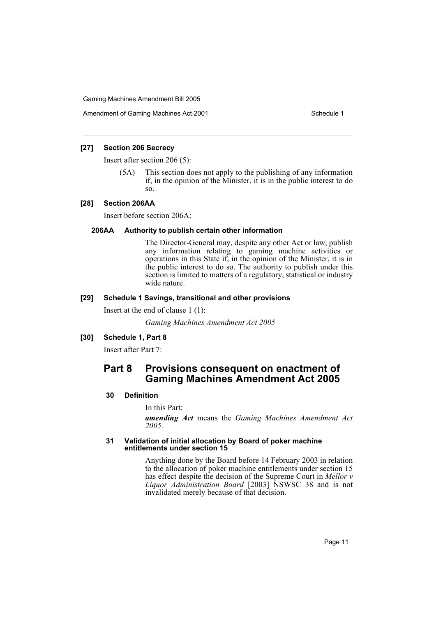Amendment of Gaming Machines Act 2001 Schedule 1

## **[27] Section 206 Secrecy**

Insert after section 206 (5):

(5A) This section does not apply to the publishing of any information if, in the opinion of the Minister, it is in the public interest to do so.

#### **[28] Section 206AA**

Insert before section 206A:

#### **206AA Authority to publish certain other information**

The Director-General may, despite any other Act or law, publish any information relating to gaming machine activities or operations in this State if, in the opinion of the Minister, it is in the public interest to do so. The authority to publish under this section is limited to matters of a regulatory, statistical or industry wide nature.

#### **[29] Schedule 1 Savings, transitional and other provisions**

Insert at the end of clause 1 (1):

*Gaming Machines Amendment Act 2005*

## **[30] Schedule 1, Part 8**

Insert after Part 7:

## **Part 8 Provisions consequent on enactment of Gaming Machines Amendment Act 2005**

#### **30 Definition**

In this Part:

*amending Act* means the *Gaming Machines Amendment Act 2005*.

#### **31 Validation of initial allocation by Board of poker machine entitlements under section 15**

Anything done by the Board before 14 February 2003 in relation to the allocation of poker machine entitlements under section 15 has effect despite the decision of the Supreme Court in *Mellor v Liquor Administration Board* [2003] NSWSC 38 and is not invalidated merely because of that decision.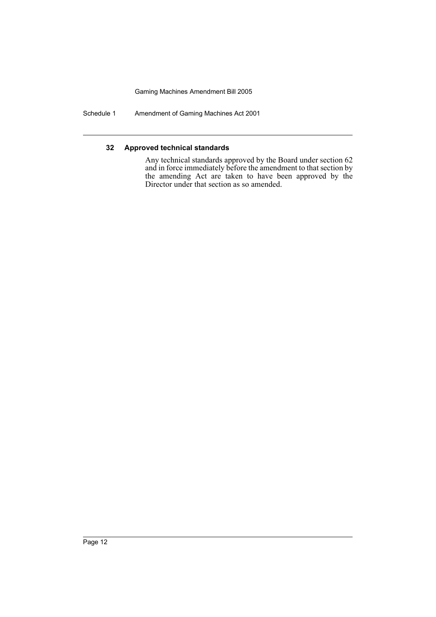Schedule 1 Amendment of Gaming Machines Act 2001

## **32 Approved technical standards**

Any technical standards approved by the Board under section 62 and in force immediately before the amendment to that section by the amending Act are taken to have been approved by the Director under that section as so amended.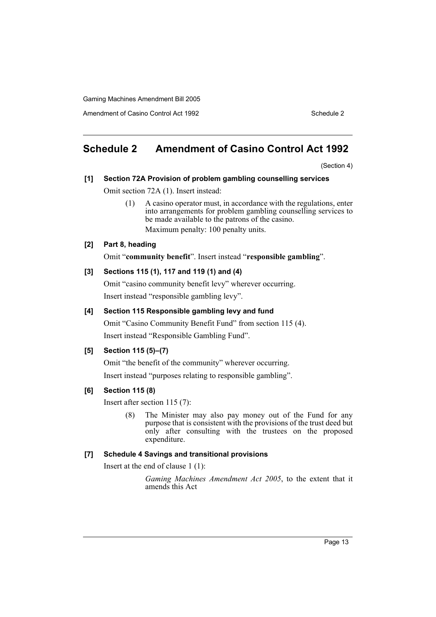Amendment of Casino Control Act 1992 Schedule 2

## **Schedule 2 Amendment of Casino Control Act 1992**

(Section 4)

# **[1] Section 72A Provision of problem gambling counselling services**

Omit section 72A (1). Insert instead:

(1) A casino operator must, in accordance with the regulations, enter into arrangements for problem gambling counselling services to be made available to the patrons of the casino. Maximum penalty: 100 penalty units.

## **[2] Part 8, heading**

Omit "**community benefit**". Insert instead "**responsible gambling**".

## **[3] Sections 115 (1), 117 and 119 (1) and (4)**

Omit "casino community benefit levy" wherever occurring. Insert instead "responsible gambling levy".

## **[4] Section 115 Responsible gambling levy and fund**

Omit "Casino Community Benefit Fund" from section 115 (4). Insert instead "Responsible Gambling Fund".

## **[5] Section 115 (5)–(7)**

Omit "the benefit of the community" wherever occurring.

Insert instead "purposes relating to responsible gambling".

## **[6] Section 115 (8)**

Insert after section 115 (7):

(8) The Minister may also pay money out of the Fund for any purpose that is consistent with the provisions of the trust deed but only after consulting with the trustees on the proposed expenditure.

## **[7] Schedule 4 Savings and transitional provisions**

Insert at the end of clause 1 (1):

*Gaming Machines Amendment Act 2005*, to the extent that it amends this Act